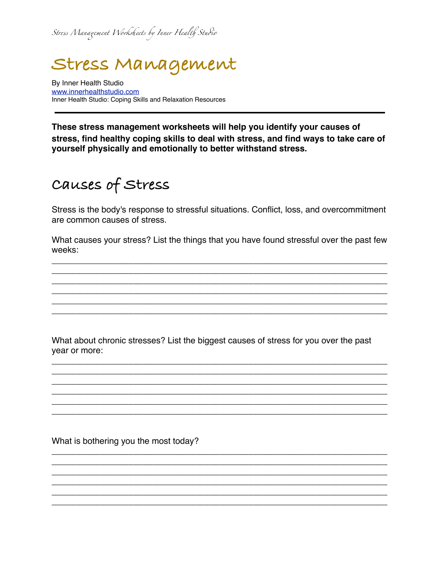*Str*!*s Mana*"*ment Work*#*eets by Inner Heal*\$ *Stu*%*o* 

# **Stress Management**

By Inner Health Studio [www.innerhealthstudio.com](http://www.innerhealthstudio.com) Inner Health Studio: Coping Skills and Relaxation Resources

**These stress management worksheets will help you identify your causes of stress, find healthy coping skills to deal with stress, and find ways to take care of yourself physically and emotionally to better withstand stress.**

#### **Causes of Stress**

Stress is the body's response to stressful situations. Conflict, loss, and overcommitment are common causes of stress.

What causes your stress? List the things that you have found stressful over the past few weeks:

\_\_\_\_\_\_\_\_\_\_\_\_\_\_\_\_\_\_\_\_\_\_\_\_\_\_\_\_\_\_\_\_\_\_\_\_\_\_\_\_\_\_\_\_\_\_\_\_\_\_\_\_\_\_\_\_\_\_\_\_\_\_\_\_\_\_\_\_\_\_ \_\_\_\_\_\_\_\_\_\_\_\_\_\_\_\_\_\_\_\_\_\_\_\_\_\_\_\_\_\_\_\_\_\_\_\_\_\_\_\_\_\_\_\_\_\_\_\_\_\_\_\_\_\_\_\_\_\_\_\_\_\_\_\_\_\_\_\_\_\_ \_\_\_\_\_\_\_\_\_\_\_\_\_\_\_\_\_\_\_\_\_\_\_\_\_\_\_\_\_\_\_\_\_\_\_\_\_\_\_\_\_\_\_\_\_\_\_\_\_\_\_\_\_\_\_\_\_\_\_\_\_\_\_\_\_\_\_\_\_\_ \_\_\_\_\_\_\_\_\_\_\_\_\_\_\_\_\_\_\_\_\_\_\_\_\_\_\_\_\_\_\_\_\_\_\_\_\_\_\_\_\_\_\_\_\_\_\_\_\_\_\_\_\_\_\_\_\_\_\_\_\_\_\_\_\_\_\_\_\_\_ \_\_\_\_\_\_\_\_\_\_\_\_\_\_\_\_\_\_\_\_\_\_\_\_\_\_\_\_\_\_\_\_\_\_\_\_\_\_\_\_\_\_\_\_\_\_\_\_\_\_\_\_\_\_\_\_\_\_\_\_\_\_\_\_\_\_\_\_\_\_ \_\_\_\_\_\_\_\_\_\_\_\_\_\_\_\_\_\_\_\_\_\_\_\_\_\_\_\_\_\_\_\_\_\_\_\_\_\_\_\_\_\_\_\_\_\_\_\_\_\_\_\_\_\_\_\_\_\_\_\_\_\_\_\_\_\_\_\_\_\_

What about chronic stresses? List the biggest causes of stress for you over the past year or more:

\_\_\_\_\_\_\_\_\_\_\_\_\_\_\_\_\_\_\_\_\_\_\_\_\_\_\_\_\_\_\_\_\_\_\_\_\_\_\_\_\_\_\_\_\_\_\_\_\_\_\_\_\_\_\_\_\_\_\_\_\_\_\_\_\_\_\_\_\_\_ \_\_\_\_\_\_\_\_\_\_\_\_\_\_\_\_\_\_\_\_\_\_\_\_\_\_\_\_\_\_\_\_\_\_\_\_\_\_\_\_\_\_\_\_\_\_\_\_\_\_\_\_\_\_\_\_\_\_\_\_\_\_\_\_\_\_\_\_\_\_ \_\_\_\_\_\_\_\_\_\_\_\_\_\_\_\_\_\_\_\_\_\_\_\_\_\_\_\_\_\_\_\_\_\_\_\_\_\_\_\_\_\_\_\_\_\_\_\_\_\_\_\_\_\_\_\_\_\_\_\_\_\_\_\_\_\_\_\_\_\_ \_\_\_\_\_\_\_\_\_\_\_\_\_\_\_\_\_\_\_\_\_\_\_\_\_\_\_\_\_\_\_\_\_\_\_\_\_\_\_\_\_\_\_\_\_\_\_\_\_\_\_\_\_\_\_\_\_\_\_\_\_\_\_\_\_\_\_\_\_\_ \_\_\_\_\_\_\_\_\_\_\_\_\_\_\_\_\_\_\_\_\_\_\_\_\_\_\_\_\_\_\_\_\_\_\_\_\_\_\_\_\_\_\_\_\_\_\_\_\_\_\_\_\_\_\_\_\_\_\_\_\_\_\_\_\_\_\_\_\_\_ \_\_\_\_\_\_\_\_\_\_\_\_\_\_\_\_\_\_\_\_\_\_\_\_\_\_\_\_\_\_\_\_\_\_\_\_\_\_\_\_\_\_\_\_\_\_\_\_\_\_\_\_\_\_\_\_\_\_\_\_\_\_\_\_\_\_\_\_\_\_

\_\_\_\_\_\_\_\_\_\_\_\_\_\_\_\_\_\_\_\_\_\_\_\_\_\_\_\_\_\_\_\_\_\_\_\_\_\_\_\_\_\_\_\_\_\_\_\_\_\_\_\_\_\_\_\_\_\_\_\_\_\_\_\_\_\_\_\_\_\_ \_\_\_\_\_\_\_\_\_\_\_\_\_\_\_\_\_\_\_\_\_\_\_\_\_\_\_\_\_\_\_\_\_\_\_\_\_\_\_\_\_\_\_\_\_\_\_\_\_\_\_\_\_\_\_\_\_\_\_\_\_\_\_\_\_\_\_\_\_\_ \_\_\_\_\_\_\_\_\_\_\_\_\_\_\_\_\_\_\_\_\_\_\_\_\_\_\_\_\_\_\_\_\_\_\_\_\_\_\_\_\_\_\_\_\_\_\_\_\_\_\_\_\_\_\_\_\_\_\_\_\_\_\_\_\_\_\_\_\_\_ \_\_\_\_\_\_\_\_\_\_\_\_\_\_\_\_\_\_\_\_\_\_\_\_\_\_\_\_\_\_\_\_\_\_\_\_\_\_\_\_\_\_\_\_\_\_\_\_\_\_\_\_\_\_\_\_\_\_\_\_\_\_\_\_\_\_\_\_\_\_ \_\_\_\_\_\_\_\_\_\_\_\_\_\_\_\_\_\_\_\_\_\_\_\_\_\_\_\_\_\_\_\_\_\_\_\_\_\_\_\_\_\_\_\_\_\_\_\_\_\_\_\_\_\_\_\_\_\_\_\_\_\_\_\_\_\_\_\_\_\_ \_\_\_\_\_\_\_\_\_\_\_\_\_\_\_\_\_\_\_\_\_\_\_\_\_\_\_\_\_\_\_\_\_\_\_\_\_\_\_\_\_\_\_\_\_\_\_\_\_\_\_\_\_\_\_\_\_\_\_\_\_\_\_\_\_\_\_\_\_\_

What is bothering you the most today?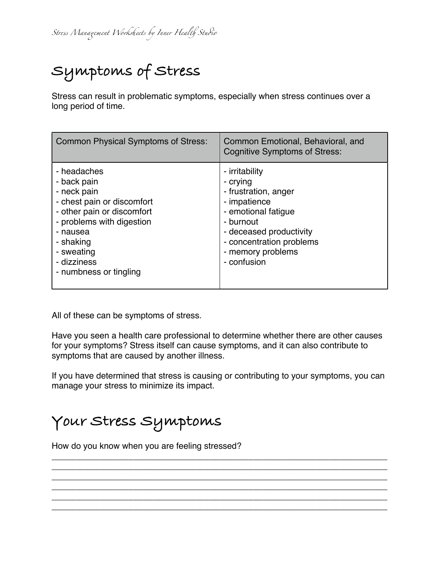# **Symptoms of Stress**

Stress can result in problematic symptoms, especially when stress continues over a long period of time.

| <b>Common Physical Symptoms of Stress:</b>                                                                                                                                                                         | Common Emotional, Behavioral, and<br><b>Cognitive Symptoms of Stress:</b>                                                                                                                         |
|--------------------------------------------------------------------------------------------------------------------------------------------------------------------------------------------------------------------|---------------------------------------------------------------------------------------------------------------------------------------------------------------------------------------------------|
| - headaches<br>- back pain<br>- neck pain<br>- chest pain or discomfort<br>- other pain or discomfort<br>- problems with digestion<br>- nausea<br>- shaking<br>- sweating<br>- dizziness<br>- numbness or tingling | - irritability<br>- crying<br>- frustration, anger<br>- impatience<br>- emotional fatique<br>- burnout<br>- deceased productivity<br>- concentration problems<br>- memory problems<br>- confusion |

All of these can be symptoms of stress.

Have you seen a health care professional to determine whether there are other causes for your symptoms? Stress itself can cause symptoms, and it can also contribute to symptoms that are caused by another illness.

If you have determined that stress is causing or contributing to your symptoms, you can manage your stress to minimize its impact.

\_\_\_\_\_\_\_\_\_\_\_\_\_\_\_\_\_\_\_\_\_\_\_\_\_\_\_\_\_\_\_\_\_\_\_\_\_\_\_\_\_\_\_\_\_\_\_\_\_\_\_\_\_\_\_\_\_\_\_\_\_\_\_\_\_\_\_\_\_\_ \_\_\_\_\_\_\_\_\_\_\_\_\_\_\_\_\_\_\_\_\_\_\_\_\_\_\_\_\_\_\_\_\_\_\_\_\_\_\_\_\_\_\_\_\_\_\_\_\_\_\_\_\_\_\_\_\_\_\_\_\_\_\_\_\_\_\_\_\_\_ \_\_\_\_\_\_\_\_\_\_\_\_\_\_\_\_\_\_\_\_\_\_\_\_\_\_\_\_\_\_\_\_\_\_\_\_\_\_\_\_\_\_\_\_\_\_\_\_\_\_\_\_\_\_\_\_\_\_\_\_\_\_\_\_\_\_\_\_\_\_ \_\_\_\_\_\_\_\_\_\_\_\_\_\_\_\_\_\_\_\_\_\_\_\_\_\_\_\_\_\_\_\_\_\_\_\_\_\_\_\_\_\_\_\_\_\_\_\_\_\_\_\_\_\_\_\_\_\_\_\_\_\_\_\_\_\_\_\_\_\_ \_\_\_\_\_\_\_\_\_\_\_\_\_\_\_\_\_\_\_\_\_\_\_\_\_\_\_\_\_\_\_\_\_\_\_\_\_\_\_\_\_\_\_\_\_\_\_\_\_\_\_\_\_\_\_\_\_\_\_\_\_\_\_\_\_\_\_\_\_\_ \_\_\_\_\_\_\_\_\_\_\_\_\_\_\_\_\_\_\_\_\_\_\_\_\_\_\_\_\_\_\_\_\_\_\_\_\_\_\_\_\_\_\_\_\_\_\_\_\_\_\_\_\_\_\_\_\_\_\_\_\_\_\_\_\_\_\_\_\_\_

#### **Your Stress Symptoms**

How do you know when you are feeling stressed?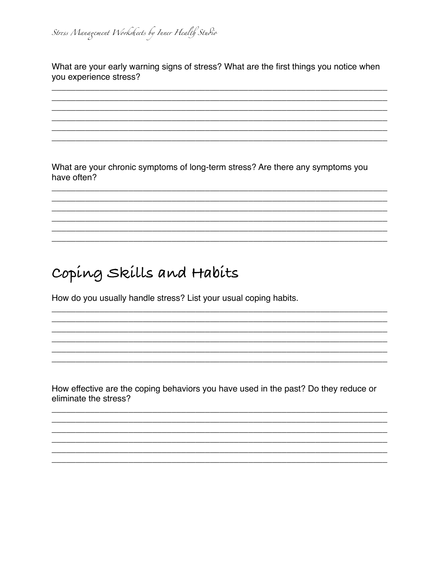What are your early warning signs of stress? What are the first things you notice when you experience stress?

What are your chronic symptoms of long-term stress? Are there any symptoms you have often?

#### Coping Skills and Habits

How do you usually handle stress? List your usual coping habits.

How effective are the coping behaviors you have used in the past? Do they reduce or eliminate the stress?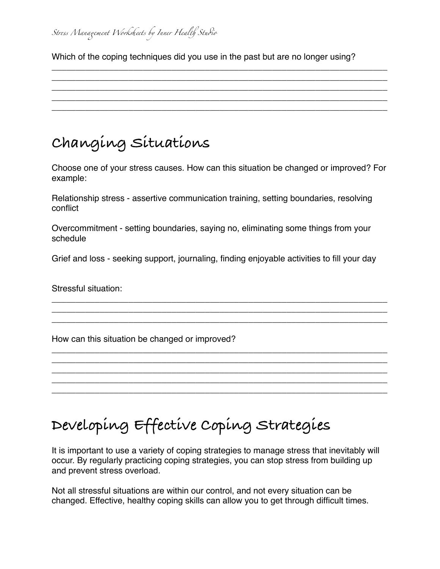#### *Str*!*s Mana*"*ment Work*#*eets by Inner Heal*\$ *Stu*%*o*

Which of the coping techniques did you use in the past but are no longer using?

\_\_\_\_\_\_\_\_\_\_\_\_\_\_\_\_\_\_\_\_\_\_\_\_\_\_\_\_\_\_\_\_\_\_\_\_\_\_\_\_\_\_\_\_\_\_\_\_\_\_\_\_\_\_\_\_\_\_\_\_\_\_\_\_\_\_\_\_\_\_ \_\_\_\_\_\_\_\_\_\_\_\_\_\_\_\_\_\_\_\_\_\_\_\_\_\_\_\_\_\_\_\_\_\_\_\_\_\_\_\_\_\_\_\_\_\_\_\_\_\_\_\_\_\_\_\_\_\_\_\_\_\_\_\_\_\_\_\_\_\_ \_\_\_\_\_\_\_\_\_\_\_\_\_\_\_\_\_\_\_\_\_\_\_\_\_\_\_\_\_\_\_\_\_\_\_\_\_\_\_\_\_\_\_\_\_\_\_\_\_\_\_\_\_\_\_\_\_\_\_\_\_\_\_\_\_\_\_\_\_\_ \_\_\_\_\_\_\_\_\_\_\_\_\_\_\_\_\_\_\_\_\_\_\_\_\_\_\_\_\_\_\_\_\_\_\_\_\_\_\_\_\_\_\_\_\_\_\_\_\_\_\_\_\_\_\_\_\_\_\_\_\_\_\_\_\_\_\_\_\_\_ \_\_\_\_\_\_\_\_\_\_\_\_\_\_\_\_\_\_\_\_\_\_\_\_\_\_\_\_\_\_\_\_\_\_\_\_\_\_\_\_\_\_\_\_\_\_\_\_\_\_\_\_\_\_\_\_\_\_\_\_\_\_\_\_\_\_\_\_\_\_

### **Changing Situations**

Choose one of your stress causes. How can this situation be changed or improved? For example:

Relationship stress - assertive communication training, setting boundaries, resolving conflict

Overcommitment - setting boundaries, saying no, eliminating some things from your schedule

Grief and loss - seeking support, journaling, finding enjoyable activities to fill your day

\_\_\_\_\_\_\_\_\_\_\_\_\_\_\_\_\_\_\_\_\_\_\_\_\_\_\_\_\_\_\_\_\_\_\_\_\_\_\_\_\_\_\_\_\_\_\_\_\_\_\_\_\_\_\_\_\_\_\_\_\_\_\_\_\_\_\_\_\_\_ \_\_\_\_\_\_\_\_\_\_\_\_\_\_\_\_\_\_\_\_\_\_\_\_\_\_\_\_\_\_\_\_\_\_\_\_\_\_\_\_\_\_\_\_\_\_\_\_\_\_\_\_\_\_\_\_\_\_\_\_\_\_\_\_\_\_\_\_\_\_ \_\_\_\_\_\_\_\_\_\_\_\_\_\_\_\_\_\_\_\_\_\_\_\_\_\_\_\_\_\_\_\_\_\_\_\_\_\_\_\_\_\_\_\_\_\_\_\_\_\_\_\_\_\_\_\_\_\_\_\_\_\_\_\_\_\_\_\_\_\_

\_\_\_\_\_\_\_\_\_\_\_\_\_\_\_\_\_\_\_\_\_\_\_\_\_\_\_\_\_\_\_\_\_\_\_\_\_\_\_\_\_\_\_\_\_\_\_\_\_\_\_\_\_\_\_\_\_\_\_\_\_\_\_\_\_\_\_\_\_\_ \_\_\_\_\_\_\_\_\_\_\_\_\_\_\_\_\_\_\_\_\_\_\_\_\_\_\_\_\_\_\_\_\_\_\_\_\_\_\_\_\_\_\_\_\_\_\_\_\_\_\_\_\_\_\_\_\_\_\_\_\_\_\_\_\_\_\_\_\_\_ \_\_\_\_\_\_\_\_\_\_\_\_\_\_\_\_\_\_\_\_\_\_\_\_\_\_\_\_\_\_\_\_\_\_\_\_\_\_\_\_\_\_\_\_\_\_\_\_\_\_\_\_\_\_\_\_\_\_\_\_\_\_\_\_\_\_\_\_\_\_ \_\_\_\_\_\_\_\_\_\_\_\_\_\_\_\_\_\_\_\_\_\_\_\_\_\_\_\_\_\_\_\_\_\_\_\_\_\_\_\_\_\_\_\_\_\_\_\_\_\_\_\_\_\_\_\_\_\_\_\_\_\_\_\_\_\_\_\_\_\_ \_\_\_\_\_\_\_\_\_\_\_\_\_\_\_\_\_\_\_\_\_\_\_\_\_\_\_\_\_\_\_\_\_\_\_\_\_\_\_\_\_\_\_\_\_\_\_\_\_\_\_\_\_\_\_\_\_\_\_\_\_\_\_\_\_\_\_\_\_\_

Stressful situation:

How can this situation be changed or improved?

## **Developing Effective Coping Strategies**

It is important to use a variety of coping strategies to manage stress that inevitably will occur. By regularly practicing coping strategies, you can stop stress from building up and prevent stress overload.

Not all stressful situations are within our control, and not every situation can be changed. Effective, healthy coping skills can allow you to get through difficult times.